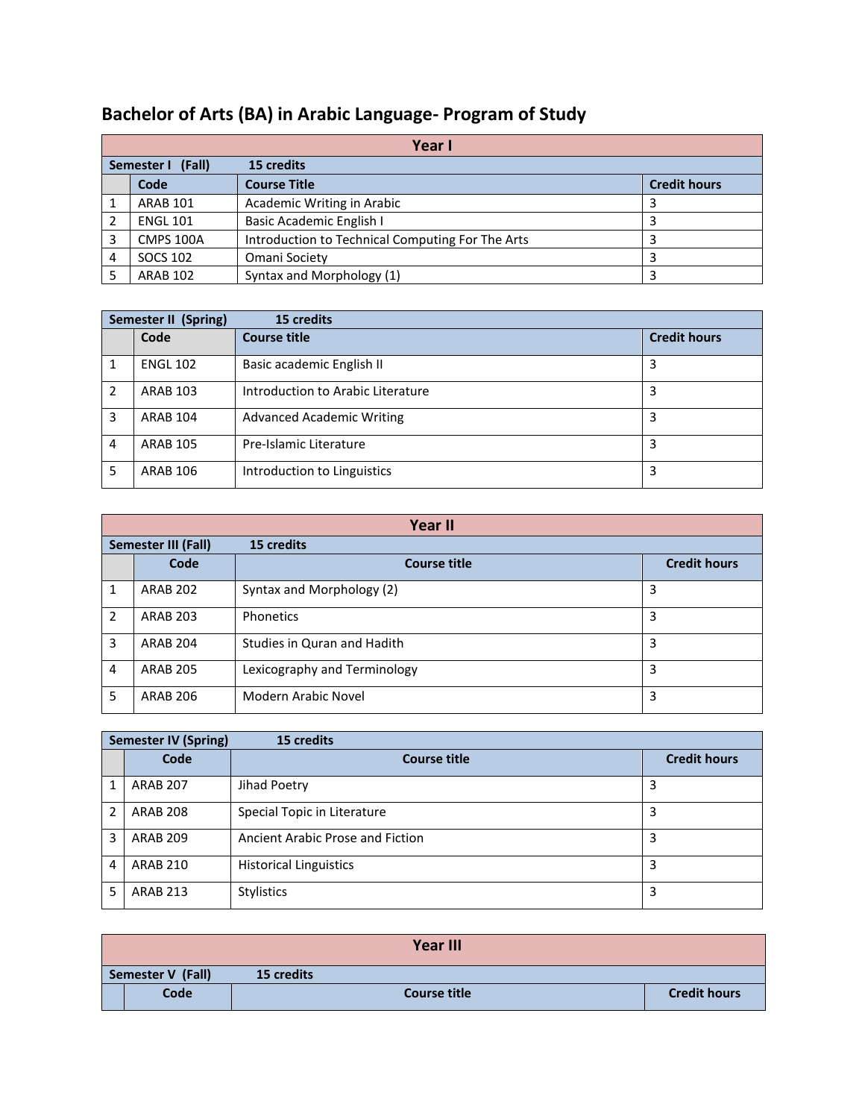|   | Year I                          |                                                  |                     |  |  |
|---|---------------------------------|--------------------------------------------------|---------------------|--|--|
|   | Semester I (Fall)<br>15 credits |                                                  |                     |  |  |
|   | Code                            | <b>Course Title</b>                              | <b>Credit hours</b> |  |  |
|   | <b>ARAB 101</b>                 | Academic Writing in Arabic                       |                     |  |  |
|   | <b>ENGL 101</b>                 | Basic Academic English I                         |                     |  |  |
|   | <b>CMPS 100A</b>                | Introduction to Technical Computing For The Arts |                     |  |  |
| 4 | SOCS 102                        | Omani Society                                    |                     |  |  |
|   | <b>ARAB 102</b>                 | Syntax and Morphology (1)                        |                     |  |  |

## **Bachelor of Arts (BA) in Arabic Language- Program of Study**

| <b>Semester II (Spring)</b> |                 | 15 credits                        |                     |
|-----------------------------|-----------------|-----------------------------------|---------------------|
|                             | Code            | <b>Course title</b>               | <b>Credit hours</b> |
|                             | <b>ENGL 102</b> | Basic academic English II         | 3                   |
| 2                           | <b>ARAB 103</b> | Introduction to Arabic Literature | 3                   |
| 3                           | <b>ARAB 104</b> | <b>Advanced Academic Writing</b>  | 3                   |
| 4                           | <b>ARAB 105</b> | Pre-Islamic Literature            | 3                   |
| 5                           | ARAB 106        | Introduction to Linguistics       | 3                   |

|               | Year II                                  |                              |                     |  |  |
|---------------|------------------------------------------|------------------------------|---------------------|--|--|
|               | 15 credits<br><b>Semester III (Fall)</b> |                              |                     |  |  |
|               | Code                                     | <b>Course title</b>          | <b>Credit hours</b> |  |  |
| 1             | <b>ARAB 202</b>                          | Syntax and Morphology (2)    | 3                   |  |  |
| $\mathcal{P}$ | <b>ARAB 203</b>                          | Phonetics                    | 3                   |  |  |
| 3             | <b>ARAB 204</b>                          | Studies in Quran and Hadith  | 3                   |  |  |
| 4             | <b>ARAB 205</b>                          | Lexicography and Terminology | 3                   |  |  |
| 5             | <b>ARAB 206</b>                          | <b>Modern Arabic Novel</b>   | 3                   |  |  |

|   | <b>Semester IV (Spring)</b> |                                  |                     |
|---|-----------------------------|----------------------------------|---------------------|
|   | Code                        | <b>Course title</b>              | <b>Credit hours</b> |
|   | <b>ARAB 207</b>             | Jihad Poetry                     | 3                   |
| 2 | <b>ARAB 208</b>             | Special Topic in Literature      | 3                   |
| 3 | <b>ARAB 209</b>             | Ancient Arabic Prose and Fiction | 3                   |
| 4 | <b>ARAB 210</b>             | <b>Historical Linguistics</b>    | 3                   |
| 5 | <b>ARAB 213</b>             | <b>Stylistics</b>                | 3                   |

|                   |      |            | <b>Year III</b>     |                     |
|-------------------|------|------------|---------------------|---------------------|
| Semester V (Fall) |      | 15 credits |                     |                     |
|                   | Code |            | <b>Course title</b> | <b>Credit hours</b> |